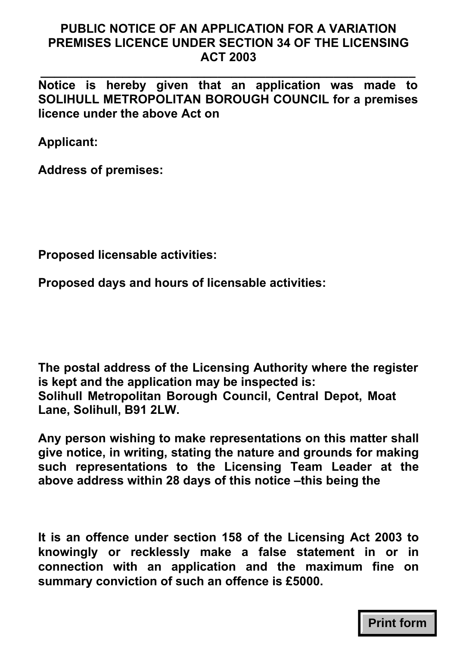## **PUBLIC NOTICE OF AN APPLICATION FOR A VARIATION PREMISES LICENCE UNDER SECTION 34 OF THE LICENSING ACT 2003**

**\_\_\_\_\_\_\_\_\_\_\_\_\_\_\_\_\_\_\_\_\_\_\_\_\_\_\_\_\_\_\_\_\_\_\_\_\_\_\_\_\_\_\_\_\_\_\_\_\_\_\_\_\_\_\_ Notice is hereby given that an application was made to SOLIHULL METROPOLITAN BOROUGH COUNCIL for a premises licence under the above Act on** 

**Applicant:** 

**Address of premises:** 

**Proposed licensable activities:** 

**Proposed days and hours of licensable activities:** 

**The postal address of the Licensing Authority where the register is kept and the application may be inspected is: Solihull Metropolitan Borough Council, Central Depot, Moat Lane, Solihull, B91 2LW.** 

**Any person wishing to make representations on this matter shall give notice, in writing, stating the nature and grounds for making such representations to the Licensing Team Leader at the above address within 28 days of this notice –this being the**

**It is an offence under section 158 of the Licensing Act 2003 to knowingly or recklessly make a false statement in or in connection with an application and the maximum fine on summary conviction of such an offence is £5000.** 

**Print form**